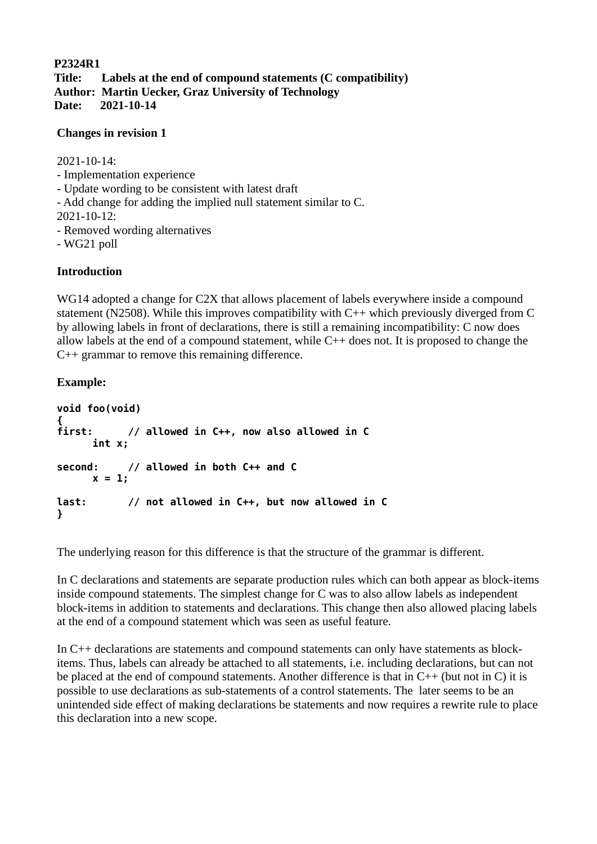**P2324R1 Title: Labels at the end of compound statements (C compatibility) Author: Martin Uecker, Graz University of Technology Date: 2021-10-14**

#### **Changes in revision 1**

2021-10-14:

- Implementation experience
- Update wording to be consistent with latest draft
- Add change for adding the implied null statement similar to C.
- 2021-10-12:
- Removed wording alternatives
- WG21 poll

### **Introduction**

WG14 adopted a change for C2X that allows placement of labels everywhere inside a compound statement (N2508). While this improves compatibility with C++ which previously diverged from C by allowing labels in front of declarations, there is still a remaining incompatibility: C now does allow labels at the end of a compound statement, while  $C++$  does not. It is proposed to change the C++ grammar to remove this remaining difference.

## **Example:**

```
void foo(void)
{
         first: // allowed in C++, now also allowed in C
     int x; 
second: // allowed in both C++ and C
     x = 1:
last: // not allowed in C++, but now allowed in C
}
```
The underlying reason for this difference is that the structure of the grammar is different.

In C declarations and statements are separate production rules which can both appear as block-items inside compound statements. The simplest change for C was to also allow labels as independent block-items in addition to statements and declarations. This change then also allowed placing labels at the end of a compound statement which was seen as useful feature.

In C++ declarations are statements and compound statements can only have statements as blockitems. Thus, labels can already be attached to all statements, i.e. including declarations, but can not be placed at the end of compound statements. Another difference is that in C++ (but not in C) it is possible to use declarations as sub-statements of a control statements. The later seems to be an unintended side effect of making declarations be statements and now requires a rewrite rule to place this declaration into a new scope.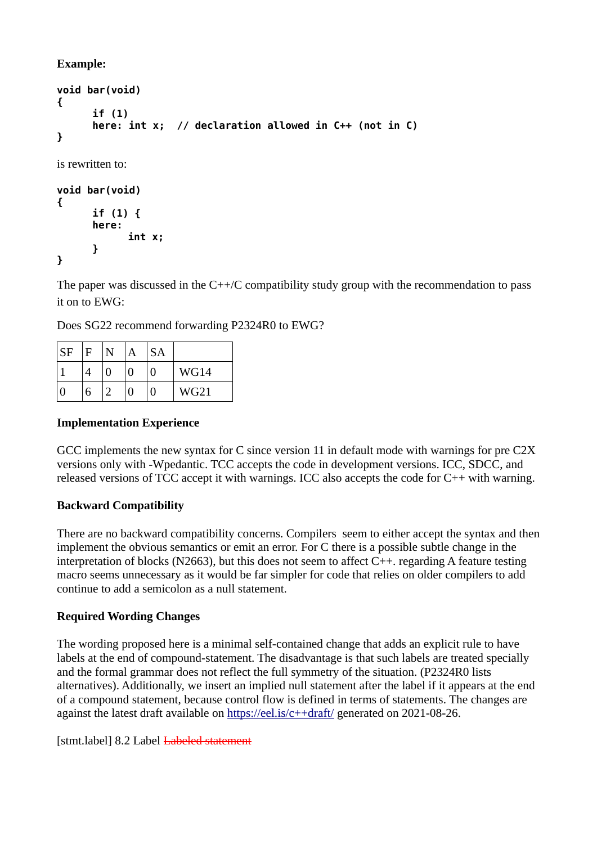**Example:**

```
void bar(void)
{
      if (1)
      here: int x; // declaration allowed in C++ (not in C)
}
is rewritten to:
void bar(void)
{
```

```
if (1) {
      here: 
             int x;
      }
}
```
The paper was discussed in the C++/C compatibility study group with the recommendation to pass it on to EWG:

Does SG22 recommend forwarding P2324R0 to EWG?

| SF | F |   | А | <b>SA</b> |      |
|----|---|---|---|-----------|------|
|    |   | 0 | 0 | 0         | WG14 |
|    | 6 |   | 0 | 0         | WG21 |

# **Implementation Experience**

GCC implements the new syntax for C since version 11 in default mode with warnings for pre C2X versions only with -Wpedantic. TCC accepts the code in development versions. ICC, SDCC, and released versions of TCC accept it with warnings. ICC also accepts the code for C++ with warning.

# **Backward Compatibility**

There are no backward compatibility concerns. Compilers seem to either accept the syntax and then implement the obvious semantics or emit an error. For C there is a possible subtle change in the interpretation of blocks (N2663), but this does not seem to affect  $C_{++}$ , regarding A feature testing macro seems unnecessary as it would be far simpler for code that relies on older compilers to add continue to add a semicolon as a null statement.

## **Required Wording Changes**

The wording proposed here is a minimal self-contained change that adds an explicit rule to have labels at the end of compound-statement. The disadvantage is that such labels are treated specially and the formal grammar does not reflect the full symmetry of the situation. (P2324R0 lists alternatives). Additionally, we insert an implied null statement after the label if it appears at the end of a compound statement, because control flow is defined in terms of statements. The changes are against the latest draft available on <https://eel.is/c++draft/> generated on 2021-08-26.

[stmt.label] 8.2 Label <del>Labeled statement</del>